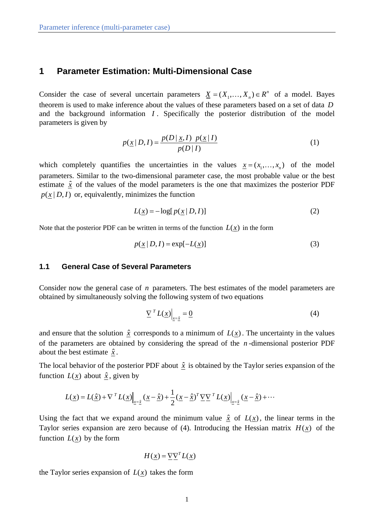## **1 Parameter Estimation: Multi-Dimensional Case**

Consider the case of several uncertain parameters  $\underline{X} = (X_1, \ldots, X_n) \in \mathbb{R}^n$  of a model. Bayes theorem is used to make inference about the values of these parameters based on a set of data *D* and the background information *I* . Specifically the posterior distribution of the model parameters is given by

$$
p(\underline{x} | D, I) = \frac{p(D | \underline{x}, I) \ p(\underline{x} | I)}{p(D | I)}
$$
(1)

which completely quantifies the uncertainties in the values  $x = (x_1, \dots, x_n)$  of the model parameters. Similar to the two-dimensional parameter case, the most probable value or the best estimate  $\hat{x}$  of the values of the model parameters is the one that maximizes the posterior PDF  $p(x | D, I)$  or, equivalently, minimizes the function

$$
L(\underline{x}) = -\log[p(\underline{x} | D, I)] \tag{2}
$$

Note that the posterior PDF can be written in terms of the function  $L(x)$  in the form

$$
p(\underline{x} | D, I) = \exp[-L(\underline{x})]
$$
\n(3)

## **1.1 General Case of Several Parameters**

Consider now the general case of *n* parameters. The best estimates of the model parameters are obtained by simultaneously solving the following system of two equations

$$
\underline{\nabla}^T L(\underline{x})\Big|_{\underline{x}=\hat{\underline{x}}} = \underline{0} \tag{4}
$$

and ensure that the solution  $\hat{x}$  corresponds to a minimum of  $L(x)$ . The uncertainty in the values of the parameters are obtained by considering the spread of the *n* -dimensional posterior PDF about the best estimate  $\hat{x}$ .

The local behavior of the posterior PDF about  $\hat{x}$  is obtained by the Taylor series expansion of the function  $L(x)$  about  $\hat{x}$ , given by

$$
L(\underline{x}) = L(\hat{\underline{x}}) + \nabla^T L(\underline{x})\Big|_{\underline{x} = \hat{\underline{x}}} (\underline{x} - \hat{\underline{x}}) + \frac{1}{2} (\underline{x} - \hat{\underline{x}})^T \underline{\nabla} \underline{\nabla}^T L(\underline{x})\Big|_{\underline{x} = \hat{\underline{x}}} (\underline{x} - \hat{\underline{x}}) + \cdots
$$

Using the fact that we expand around the minimum value  $\hat{x}$  of  $L(\hat{x})$ , the linear terms in the Taylor series expansion are zero because of  $(4)$ . Introducing the Hessian matrix  $H(x)$  of the function  $L(x)$  by the form

$$
H(\underline{x}) = \underline{\nabla} \underline{\nabla}^T L(\underline{x})
$$

the Taylor series expansion of  $L(x)$  takes the form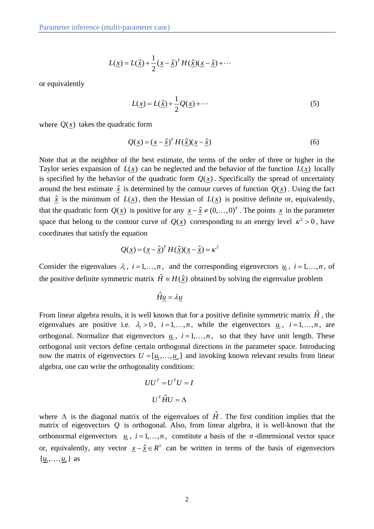$$
L(\underline{x}) = L(\hat{\underline{x}}) + \frac{1}{2} (\underline{x} - \hat{\underline{x}})^T H(\hat{\underline{x}}) (\underline{x} - \hat{\underline{x}}) + \cdots
$$

or equivalently

$$
L(\underline{x}) = L(\hat{\underline{x}}) + \frac{1}{2}Q(\underline{x}) + \cdots
$$
 (5)

where  $Q(x)$  takes the quadratic form

$$
Q(\underline{x}) = (\underline{x} - \hat{\underline{x}})^T H(\hat{\underline{x}})(\underline{x} - \hat{\underline{x}})
$$
\n(6)

Note that at the neighbor of the best estimate, the terms of the order of three or higher in the Taylor series expansion of  $L(x)$  can be neglected and the behavior of the function  $L(x)$  locally is specified by the behavior of the quadratic form  $Q(x)$ . Specifically the spread of uncertainty around the best estimate  $\hat{x}$  is determined by the contour curves of function  $Q(x)$ . Using the fact that  $\hat{x}$  is the minimum of  $L(x)$ , then the Hessian of  $L(x)$  is positive definite or, equivalently, that the quadratic form  $Q(\underline{x})$  is positive for any  $\underline{x} - \hat{\underline{x}} \neq (0, \dots, 0)^T$ . The points  $\underline{x}$  in the parameter space that belong to the contour curve of  $Q(x)$  corresponding to an energy level  $\kappa^2 > 0$ , have coordinates that satisfy the equation

$$
Q(\underline{x}) = (\underline{x} - \hat{\underline{x}})^T H(\hat{\underline{x}})(\underline{x} - \hat{\underline{x}}) = \kappa^2
$$

Consider the eigenvalues  $\lambda_i$ ,  $i = 1, ..., n$ , and the corresponding eigenvectors  $\underline{u}_i$ ,  $i = 1, ..., n$ , of the positive definite symmetric matrix  $\hat{H} = H(\hat{x})$  obtained by solving the eigenvalue problem

 $\hat{H}u = \lambda u$ 

From linear algebra results, it is well known that for a positive definite symmetric matrix  $\hat{H}$ , the eigenvalues are positive i.e.  $\lambda_i > 0$ ,  $i = 1, ..., n$ , while the eigenvectors  $\underline{u}_i$ ,  $i = 1, ..., n$ , are orthogonal. Normalize that eigenvectors  $u_i$ ,  $i = 1,...,n$ , so that they have unit length. These orthogonal unit vectors define certain orthogonal directions in the parameter space. Introducing now the matrix of eigenvectors  $U = [u_1, \dots, u_n]$  and invoking known relevant results from linear algebra, one can write the orthogonality conditions:

$$
UU^{T} = U^{T}U = I
$$

$$
U^{T}\hat{H}U = \Lambda
$$

where  $\Lambda$  is the diagonal matrix of the eigenvalues of  $\hat{H}$ . The first condition implies that the matrix of eigenvectors *Q* is orthogonal. Also, from linear algebra, it is well-known that the orthonormal eigenvectors  $u_i$ ,  $i = 1,...,n$ , constitute a basis of the *n*-dimensional vector space or, equivalently, any vector  $\underline{x} - \hat{\underline{x}} \in \mathbb{R}^n$  can be written in terms of the basis of eigenvectors  $\{\underline{u}_1, \ldots, \underline{u}_n\}$  as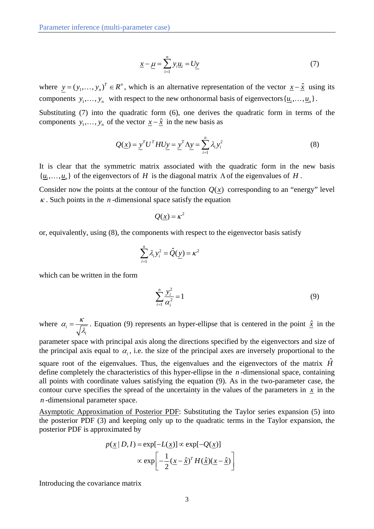$$
\underline{x} - \underline{\mu} = \sum_{i=1}^{n} y_i \underline{u}_i = U \underline{y} \tag{7}
$$

where  $y = (y_1, ..., y_n)^T \in \mathbb{R}^n$ , which is an alternative representation of the vector  $x - \hat{x}$  using its components  $y_1, \ldots, y_n$  with respect to the new orthonormal basis of eigenvectors  $\{u_1, \ldots, u_n\}$ .

Substituting (7) into the quadratic form (6), one derives the quadratic form in terms of the components  $y_1, \ldots, y_n$  of the vector  $\underline{x} - \hat{\underline{x}}$  in the new basis as

$$
Q(\underline{x}) = \underline{y}^T U^T H U \underline{y} = \underline{y}^T \Lambda \underline{y} = \sum_{i=1}^n \lambda_i y_i^2
$$
 (8)

It is clear that the symmetric matrix associated with the quadratic form in the new basis  $\{u_1, \ldots, u_n\}$  of the eigenvectors of *H* is the diagonal matrix  $\Lambda$  of the eigenvalues of *H*.

Consider now the points at the contour of the function  $Q(x)$  corresponding to an "energy" level  $\kappa$ . Such points in the *n*-dimensional space satisfy the equation

$$
Q(\underline{x}) = \kappa^2
$$

or, equivalently, using (8), the components with respect to the eigenvector basis satisfy

$$
\sum_{i=1}^n \lambda_i y_i^2 = \hat{Q}(\underline{y}) = \kappa^2
$$

which can be written in the form

$$
\sum_{i=1}^{n} \frac{y_i^2}{\alpha_i^2} = 1
$$
 (9)

where  $\alpha$ <sub>i</sub> *i*  $\alpha_i = \frac{\kappa}{\sqrt{\lambda}}$ . Equation (9) represents an hyper-ellipse that is centered in the point  $\hat{x}$  in the

parameter space with principal axis along the directions specified by the eigenvectors and size of the principal axis equal to  $\alpha_i$ , i.e. the size of the principal axes are inversely proportional to the

square root of the eigenvalues. Thus, the eigenvalues and the eigenvectors of the matrix  $\hat{H}$ define completely the characteristics of this hyper-ellipse in the *n* -dimensional space, containing all points with coordinate values satisfying the equation (9). As in the two-parameter case, the contour curve specifies the spread of the uncertainty in the values of the parameters in  $\overline{x}$  in the *n* -dimensional parameter space.

Asymptotic Approximation of Posterior PDF: Substituting the Taylor series expansion (5) into the posterior PDF (3) and keeping only up to the quadratic terms in the Taylor expansion, the posterior PDF is approximated by

$$
p(\underline{x} | D, I) = \exp[-L(\underline{x})] \propto \exp[-Q(\underline{x})]
$$

$$
\propto \exp\left[-\frac{1}{2}(\underline{x} - \hat{\underline{x}})^T H(\hat{\underline{x}})(\underline{x} - \hat{\underline{x}})\right]
$$

Introducing the covariance matrix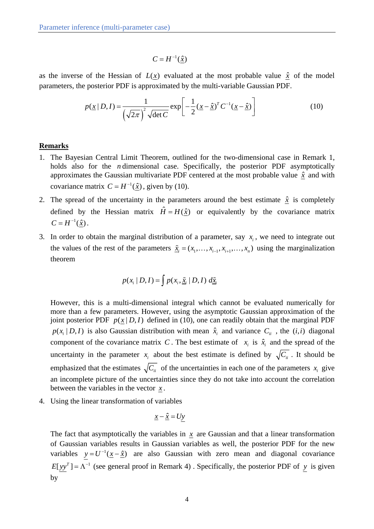$$
C = H^{-1}(\hat{\underline{x}})
$$

as the inverse of the Hessian of  $L(x)$  evaluated at the most probable value  $\hat{x}$  of the model parameters, the posterior PDF is approximated by the multi-variable Gaussian PDF.

$$
p(\underline{x} \mid D, I) = \frac{1}{\left(\sqrt{2\pi}\right)^2 \sqrt{\det C}} \exp\left[-\frac{1}{2}(\underline{x} - \hat{\underline{x}})^T C^{-1} (\underline{x} - \hat{\underline{x}})\right]
$$
(10)

## **Remarks**

- 1. The Bayesian Central Limit Theorem, outlined for the two-dimensional case in Remark 1, holds also for the *n* dimensional case. Specifically, the posterior PDF asymptotically approximates the Gaussian multivariate PDF centered at the most probable value  $\hat{x}$  and with covariance matrix  $C = H^{-1}(\hat{\underline{x}})$ , given by (10).
- 2. The spread of the uncertainty in the parameters around the best estimate  $\hat{x}$  is completely defined by the Hessian matrix  $\hat{H} = H(\hat{x})$  or equivalently by the covariance matrix  $C = H^{-1}(\hat{x})$ .
- 3. In order to obtain the marginal distribution of a parameter, say  $x_i$ , we need to integrate out the values of the rest of the parameters  $\tilde{x}_i = (x_1, \dots, x_{i-1}, x_{i+1}, \dots, x_n)$  using the marginalization theorem

$$
p(x_i | D, I) = \int p(x_i, \underline{\tilde{x}}_i | D, I) d\underline{\tilde{x}}_i
$$

However, this is a multi-dimensional integral which cannot be evaluated numerically for more than a few parameters. However, using the asymptotic Gaussian approximation of the joint posterior PDF  $p(x | D, I)$  defined in (10), one can readily obtain that the marginal PDF  $p(x_i | D, I)$  is also Gaussian distribution with mean  $\hat{x}_i$  and variance  $C_i$ , the (*i, i*) diagonal component of the covariance matrix *C*. The best estimate of  $x_i$  is  $\hat{x}_i$  and the spread of the uncertainty in the parameter  $x_i$  about the best estimate is defined by  $\sqrt{C_{ii}}$ . It should be emphasized that the estimates  $\sqrt{C_{ii}}$  of the uncertainties in each one of the parameters  $x_i$  give an incomplete picture of the uncertainties since they do not take into account the correlation between the variables in the vector *x* .

4. Using the linear transformation of variables

$$
\underline{x} - \hat{\underline{x}} = U \underline{y}
$$

The fact that asymptotically the variables in  $x$  are Gaussian and that a linear transformation of Gaussian variables results in Gaussian variables as well, the posterior PDF for the new variables  $y = U^{-1}(\underline{x} - \hat{\underline{x}})$  are also Gaussian with zero mean and diagonal covariance  $E[yy^T] = \Lambda^{-1}$  (see general proof in Remark 4). Specifically, the posterior PDF of *y* is given by